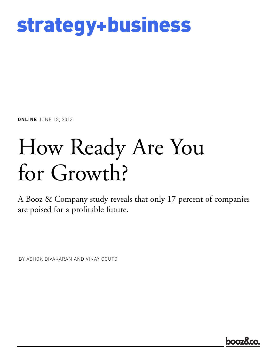

**ONLINE** JUNE 18, 2013

# How Ready Are You for Growth?

A Booz & Company study reveals that only 17 percent of companies are poised for a profitable future.

BY ASHOK DIVAKARAN AND VINAY COUTO

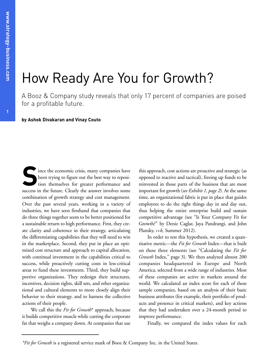# How Ready Are You for Growth?

A Booz & Company study reveals that only 17 percent of companies are poised for a profitable future.

**by Ashok Divakaran and Vinay Couto**

Since the economic crisis, many companies have<br>been trying to figure out the best way to reposi-<br>tion themselves for greater performance and been trying to figure out the best way to reposition themselves for greater performance and success in the future. Clearly the answer involves some combination of growth strategy and cost management. Over the past several years, working in a variety of industries, we have seen firsthand that companies that do three things together seem to be better positioned for a sustainable return to high performance. First, they create clarity and coherence in their strategy, articulating the differentiating capabilities that they will need to win in the marketplace. Second, they put in place an optimized cost structure and approach to capital allocation, with continual investment in the capabilities critical to success, while proactively cutting costs in less-critical areas to fund these investments. Third, they build supportive organizations. They redesign their structures, incentives, decision rights, skill sets, and other organizational and cultural elements to more closely align their behavior to their strategy, and to harness the collective actions of their people.

We call this the *Fit for Growth*\* approach, because it builds competitive muscle while cutting the corporate fat that weighs a company down. At companies that use

this approach, cost actions are proactive and strategic (as opposed to reactive and tactical), freeing up funds to be reinvested in those parts of the business that are most important for growth (*see Exhibit 1, page 2*). At the same time, an organizational fabric is put in place that guides employees to do the right things day in and day out, thus helping the entire enterprise build and sustain competitive advantage (see "Is Your Company Fit for Growth?" by Deniz Caglar, Jaya Pandrangi, and John Plansky, *s+b,* Summer 2012).

In order to test this hypothesis, we created a quantitative metric—the *Fit for Growth* Index—that is built on these three elements (see "Calculating the *Fit for Growth* Index," page 3). We then analyzed almost 200 companies headquartered in Europe and North America, selected from a wide range of industries. Most of these companies are active in markets around the world. We calculated an index score for each of these sample companies, based on an analysis of their basic business attributes (for example, their portfolio of products and presence in critical markets), and key actions that they had undertaken over a 24-month period to improve performance.

Finally, we compared the index values for each

*<sup>\*</sup>Fit for Growth* is a registered service mark of Booz & Company Inc. in the United States.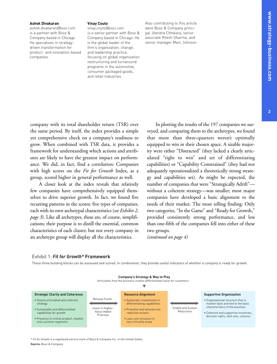#### **Ashok Divakaran**

*ashok.divakaran@booz.com* is a partner with Booz & Company based in Chicago. He specializes in strategydriven transformation for product- and innovation-based companies.

#### **Vinay Couto**

company with its total shareholder return (TSR) over the same period. By itself, the index provides a simple yet comprehensive check on a company's readiness to grow. When combined with TSR data, it provides a

*vinay.couto@booz.com* is a senior partner with Booz & Company based in Chicago. He is the global leader of the firm's organization, change, and leadership practice, focusing on global organization restructuring and turnaround programs in the automotive, consumer packaged goods, and retail industries.

Also contributing to this article were Booz & Company principal Jitendra Chhikara, senior associate Ritesh Sharma, and senior manager Marc Johnson.

In plotting the results of the 197 companies we surveyed, and comparing them to the archetypes, we found that more than three-quarters weren't optimally equipped to win in their chosen space. A sizable majority were either "Distracted" (they lacked a clearly artic-

framework for understanding which actions and attributes are likely to have the greatest impact on performance. We did, in fact, find a correlation: Companies with high scores on the *Fit for Growth* Index, as a group, scored higher in general performance as well. A closer look at the index reveals that relatively few companies have comprehensively equipped themselves to drive superior growth. In fact, we found five recurring patterns in the scores: five types of companies, each with its own archetypal characteristics (*see Exhibit 2, page 3*). Like all archetypes, these are, of course, simplifications; their purpose is to distill the essential, common ulated "right to win" and set of differentiating capabilities) or "Capability Constrained" (they had not adequately operationalized a theoretically strong strategy and capabilities set). As might be expected, the number of companies that were "Strategically Adrift" without a coherent strategy—was smaller; most major companies have developed a basic alignment to the needs of their market. The most telling finding: Only two categories, "In the Game" and "Ready for Growth," provided consistently strong performance, and less than one-fifth of the companies fell into either of these

*(continued on page 4)*

two groups.

Exhibit 1: *Fit for Growth\** **Framework**

characteristics of each cluster, but not every company in an archetype group will display all the characteristics.

These three building blocks can be assessed and scored. In combination, they provide useful indicators of whether a company is ready for growth.



\* *Fit for Growth* is a registered service mark of Booz & Company Inc. in the United States.

**Source:** Booz & Company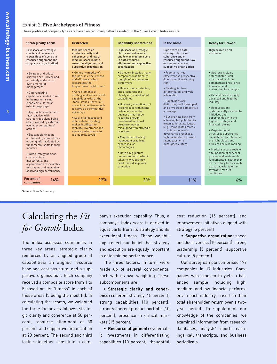#### Exhibit 2: **Five Archetypes of Fitness**

These profiles of company types are based on recurring patterns evident in the *Fit for Growth* Index results.

| <b>Strategically Adrift</b>                                                                                                                                                                                                                                                                                                                                                                                                                                                                                                                                                                                                                                                                  | <b>Distracted</b>                                                                                                                                                                                                                                                                                                                                                                                                                                                              | <b>Capability Constrained</b>                                                                                                                                                                                                                                                                                                                                                                                                                                                                                                                                                                                                | In the Game                                                                                                                                                                                                                                                                                                                                                                                                                                                                                          | <b>Ready for Growth</b>                                                                                                                                                                                                                                                                                                                                                                                                                                                                                                                                                                                                                                                                                 |
|----------------------------------------------------------------------------------------------------------------------------------------------------------------------------------------------------------------------------------------------------------------------------------------------------------------------------------------------------------------------------------------------------------------------------------------------------------------------------------------------------------------------------------------------------------------------------------------------------------------------------------------------------------------------------------------------|--------------------------------------------------------------------------------------------------------------------------------------------------------------------------------------------------------------------------------------------------------------------------------------------------------------------------------------------------------------------------------------------------------------------------------------------------------------------------------|------------------------------------------------------------------------------------------------------------------------------------------------------------------------------------------------------------------------------------------------------------------------------------------------------------------------------------------------------------------------------------------------------------------------------------------------------------------------------------------------------------------------------------------------------------------------------------------------------------------------------|------------------------------------------------------------------------------------------------------------------------------------------------------------------------------------------------------------------------------------------------------------------------------------------------------------------------------------------------------------------------------------------------------------------------------------------------------------------------------------------------------|---------------------------------------------------------------------------------------------------------------------------------------------------------------------------------------------------------------------------------------------------------------------------------------------------------------------------------------------------------------------------------------------------------------------------------------------------------------------------------------------------------------------------------------------------------------------------------------------------------------------------------------------------------------------------------------------------------|
| Low score on strategic<br>clarity and coherence<br>(regardless of scores in<br>resource alignment and<br>supportive organization)                                                                                                                                                                                                                                                                                                                                                                                                                                                                                                                                                            | Medium score on<br>strategic clarity and<br>coherence, and low or<br>medium score in both<br>resource alignment and<br>supportive organization                                                                                                                                                                                                                                                                                                                                 | High score on strategic<br>clarity and coherence,<br>and low or medium score<br>in both resource<br>alignment and supportive<br>organization                                                                                                                                                                                                                                                                                                                                                                                                                                                                                 | High score on both<br>strategic clarity and<br>coherence and on<br>resource alignment; low<br>or medium score on<br>supportive organization                                                                                                                                                                                                                                                                                                                                                          | High scores on all<br>attributes                                                                                                                                                                                                                                                                                                                                                                                                                                                                                                                                                                                                                                                                        |
| • Strategy and critical<br>priorities are unclear and<br>not widely understood,<br>even among top<br>management<br>• Differentiating<br>capabilities needed to win<br>in the market are not<br>clearly articulated or<br>exhibit large gaps<br>• Approach is fundamen-<br>tally reactive, with<br>strategic decisions being<br>easily swayed by external<br>events or competitors'<br>actions<br>· Susceptible to being<br>outflanked by competitors<br>or being left flat-footed by<br>fundamental shifts in their<br>industry<br>. With strategy unclear,<br>cost structure,<br>investments, and<br>organization are inevitably<br>misaligned and incapable<br>of driving high performance | • Generally middle-of-<br>the-pack in effectiveness<br>and efficiency, which<br>jeopardizes the<br>longer-term "right to win"<br>• Core elements of<br>strategy and some critical<br>capabilities exist at the<br>"table stakes" level, but<br>are not distinctive enough<br>to serve as a competitive<br>advantage<br>. Lack of a focused and<br>differentiated strategy<br>makes it difficult to<br>mobilize investment and<br>elevate performance to<br>top-quartile levels | • Category includes many<br>companies traditionally<br>thought of as competent<br>performers<br>• Have strong strategies,<br>and a coherent and<br>clearly articulated set of<br>capabilities<br>• However, execution isn't<br>keeping pace with intent-<br>critical areas of the<br>business may not be<br>receiving enough<br>investment, and cost<br>structure may be<br>misaligned with strategic<br>priorities<br>. May be held back by<br>inadequate practices,<br>processes, or<br>technologies<br>· Have a big-picture<br>understanding of what it<br>takes to win, but they<br>need more discipline in<br>execution | · From a market<br>effectiveness perspective,<br>doing almost everything<br>right<br>· Strategy is clear,<br>differentiated, and well<br>articulated<br>• Capabilities are<br>distinctive, well developed,<br>and drive clear competitive<br>advantage<br>. But are held back from<br>achieving full potential by<br>organizational attributes<br>(e.g., complicated matrix<br>structures, onerous<br>governance processes,<br>high leadership turnover,<br>talent gaps, or a<br>misaligned culture) | · Strategy is clear,<br>differentiated, well<br>articulated, and has<br>demonstrated resilience<br>to market and<br>environmental changes<br>• Capabilities are highly<br>advanced and lead the<br>industry<br>• Resources are<br>systematically directed to<br>initiatives and<br>opportunities with the<br>highest strategic and<br>financial returns<br>· Organizational<br>structures support key<br>capabilities, with talent in<br>the right places and<br>efficient decision making<br>· Market success rests on<br>a foundation of coherent,<br>proven, and sustainable<br>fundamentals, rather than<br>on transitory factors such<br>as managerial talent or<br>favorable market<br>conditions |
| Percent of<br>14%<br>companies:                                                                                                                                                                                                                                                                                                                                                                                                                                                                                                                                                                                                                                                              | 49%                                                                                                                                                                                                                                                                                                                                                                                                                                                                            | 20%                                                                                                                                                                                                                                                                                                                                                                                                                                                                                                                                                                                                                          | 11%                                                                                                                                                                                                                                                                                                                                                                                                                                                                                                  | 6%                                                                                                                                                                                                                                                                                                                                                                                                                                                                                                                                                                                                                                                                                                      |

**Source:** Booz & Company

### Calculating the *Fit for Growth* Index

The index assesses companies in three key areas: strategic clarity reinforced by an aligned group of capabilities; an aligned resource base and cost structure; and a supportive organization. Each company received a composite score from 1 to 5 based on its "fitness" in each of these areas (5 being the most fit). In calculating the scores, we weighted the three factors as follows: strategic clarity and coherence at 50 percent, resource alignment at 30 percent, and supportive organization at 20 percent. The second and third factors together constitute a com-

pany's execution capability. Thus, a company's index score is derived in equal parts from its strategy and its executional fitness. These weightings reflect our belief that strategy and execution are equally important in determining performance.

The three factors, in turn, were made up of several components, each with its own weighting. These subcomponents are:

• **Strategic clarity and coherence:** coherent strategy (15 percent), strong capabilities (10 percent), strong/coherent product portfolio (10 percent), presence in critical markets (15 percent)

• **Resource alignment:** systematic investments in differentiating capabilities (10 percent), thoughtful cost reduction (15 percent), and improvement initiatives aligned with strategy (5 percent)

• **Supportive organization:** speed and decisiveness (10 percent), strong leadership (5 percent), supportive culture (5 percent)

Our survey sample comprised 197 companies in 17 industries. Companies were chosen to yield a balanced sample including high, medium, and low financial performers in each industry, based on their total shareholder return over a twoyear period. To supplement our knowledge of the companies, we examined information from research databases, analysts' reports, earnings call transcripts, and business periodicals.

**3**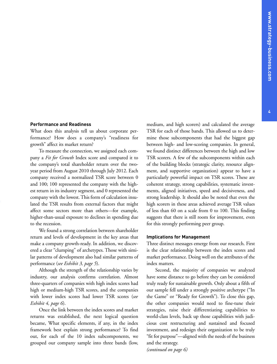#### **4**

#### **Performance and Readiness**

What does this analysis tell us about corporate performance? How does a company's "readiness for growth" affect its market return?

To measure the connection, we assigned each company a *Fit for Growth* Index score and compared it to the company's total shareholder return over the twoyear period from August 2010 through July 2012. Each company received a normalized TSR score between 0 and 100; 100 represented the company with the highest return in its industry segment, and 0 represented the company with the lowest.This form of calculation insulated the TSR results from external factors that might affect some sectors more than others—for example, higher-than-usual exposure to declines in spending due to the recession.

We found a strong correlation between shareholder return and levels of development in the key areas that make a company growth-ready. In addition, we discovered a clear "clumping" of archetypes. Those with similar patterns of development also had similar patterns of performance (*see Exhibit 3, page 5*).

Although the strength of the relationship varies by industry, our analysis confirms correlation. Almost three-quarters of companies with high index scores had high or medium-high TSR scores, and the companies with lower index scores had lower TSR scores (*see Exhibit 4, page 6*).

Once the link between the index scores and market returns was established, the next logical question became, What specific elements, if any, in the index framework best explain strong performance? To find out, for each of the 10 index subcomponents, we grouped our company sample into three bands (low,

medium, and high scorers) and calculated the average TSR for each of those bands. This allowed us to determine those subcomponents that had the biggest gap between high- and low-scoring companies. In general, we found distinct differences between the high and low TSR scorers. A few of the subcomponents within each of the building blocks (strategic clarity, resource alignment, and supportive organization) appear to have a particularly powerful impact on TSR scores. These are coherent strategy, strong capabilities, systematic investments, aligned initiatives, speed and decisiveness, and strong leadership. It should also be noted that even the high scorers in these areas achieved average TSR values of less than 60 on a scale from 0 to 100. This finding suggests that there is still room for improvement, even for this strongly performing peer group.

#### **Implications for Management**

Three distinct messages emerge from our research. First is the clear relationship between the index scores and market performance. Doing well on the attributes of the index matters.

Second, the majority of companies we analyzed have some distance to go before they can be considered truly ready for sustainable growth. Only about a fifth of our sample fell under a strongly positive archetype ("In the Game" or "Ready for Growth"). To close this gap, the other companies would need to fine-tune their strategies, raise their differentiating capabilities to world-class levels, back up those capabilities with judicious cost restructuring and sustained and focused investment, and redesign their organization to be truly "fit for purpose"—aligned with the needs of the business and the strategy.

*(continued on page 6)*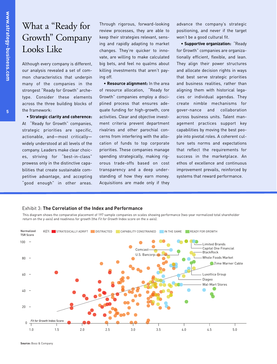**5**

**w**

# What a "Ready for Growth" Company Looks Like

Although every company is different, our analysis revealed a set of common characteristics that underpin many of the companies in the strongest "Ready for Growth" archetype. Consider these elements across the three building blocks of the framework:

#### • **Strategic clarity and coherence:**

At "Ready for Growth" companies, strategic priorities are specific, actionable, and—most critically widely understood at all levels of the company. Leaders make clear choices, striving for "best-in-class" prowess only in the distinctive capabilities that create sustainable competitive advantage, and accepting "good enough" in other areas.

Through rigorous, forward-looking review processes, they are able to keep their strategies relevant, sensing and rapidly adapting to market changes. They're quicker to innovate, are willing to make calculated big bets, and feel no qualms about killing investments that aren't paying off.

• **Resource alignment:** In the area of resource allocation, "Ready for Growth" companies employ a disciplined process that ensures adequate funding for high-growth, core activities. Clear and objective investment criteria prevent department rivalries and other parochial concerns from interfering with the allocation of funds to top corporate priorities. These companies manage spending strategically, making rigorous trade-offs based on cost transparency and a deep understanding of how they earn money. Acquisitions are made only if they

advance the company's strategic positioning, and never if the target won't be a good cultural fit.

• **Supportive organization:** "Ready for Growth" companies are organizationally efficient, flexible, and lean. They align their power structures and allocate decision rights in ways that best serve strategic priorities and business realities, rather than aligning them with historical legacies or individual agendas. They create nimble mechanisms for gover-nance and collaboration across business units. Talent management practices support key capabilities by moving the best people into pivotal roles. A coherent culture sets norms and expectations that reflect the requirements for success in the marketplace. An ethos of excellence and continuous improvement prevails, reinforced by systems that reward performance.

#### Exhibit 3: **The Correlation of the Index and Performance**

This diagram shows the comparative placement of 197 sample companies on scales showing performance (two-year normalized total shareholder return on the y-axis) and readiness for growth (the *Fit for Growth* Index score on the x-axis).



**Source:** Booz & Company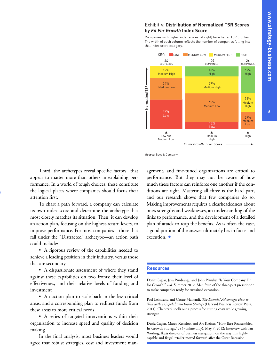#### Exhibit 4: **Distribution of Normalized TSR Scores by** *Fit For Growth* **Index Score**

Companies with higher index scores (at right) have better TSR profiles. The width of each column reflects the number of companies falling into that index score category.



**Source:** Booz & Company

Third, the archetypes reveal specific factors that appear to matter more than others in explaining performance. In a world of tough choices, these constitute the logical places where companies should focus their attention first.

To chart a path forward, a company can calculate its own index score and determine the archetype that most closely matches its situation. Then, it can develop an action plan, focusing on the highest-return levers, to improve performance. For most companies—those that fall under the "Distracted" archetype—an action path could include:

• A rigorous review of the capabilities needed to achieve a leading position in their industry, versus those that are secondary

• A dispassionate assessment of where they stand against these capabilities on two fronts: their level of effectiveness, and their relative levels of funding and investment

• An action plan to scale back in the less-critical areas, and a corresponding plan to redirect funds from these areas to more critical needs

• A series of targeted interventions within their organization to increase speed and quality of decision making

In the final analysis, most business leaders would agree that robust strategies, cost and investment management, and fine-tuned organizations are critical to performance. But they may not be aware of how much these factors can reinforce one another if the conditions are right. Mastering all three is the hard part, and our research shows that few companies do so. Making improvements requires a clearheadedness about one's strengths and weaknesses, an understanding of the links to performance, and the development of a detailed plan of attack to reap the benefits. As is often the case, a good portion of the answer ultimately lies in focus and execution. **+**

#### **Resources**

Deniz Caglar, Jaya Pandrangi, and John Plansky, "Is Your Company Fit for Growth?" *s+b,* Summer 2012: Manifesto of the three-part prescription to make companies ready for sustained expansion.

Paul Leinwand and Cesare Mainardi, *The Essential Advantage: How to Win with a Capabilities-Driven Strategy* (Harvard Business Review Press, 2011): Chapter 9 spells out a process for cutting costs while growing stronger.

Deniz Caglar, Marco Kesteloo, and Art Kleiner, "How Ikea Reassembled Its Growth Strategy," *s+b* (online only), May 7, 2012: Interview with Ian Worling, Ikea's director of business navigation, on the way this highly capable and frugal retailer moved forward after the Great Recession.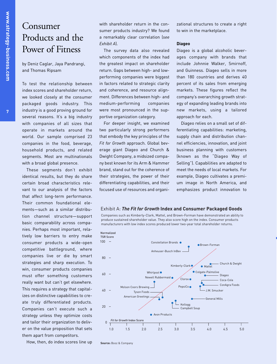## Consumer Products and the Power of Fitness

by Deniz Caglar, Jaya Pandrangi, and Thomas Ripsam

To test the relationship between index scores and shareholder return, we looked closely at the consumer packaged goods industry. This industry is a good proving ground for several reasons. It's a big industry with companies of all sizes that operate in markets around the world. Our sample comprised 23 companies in the food, beverage, household products, and related segments. Most are multinationals with a broad global presence.

These segments don't exhibit identical results, but they do share certain broad characteristics relevant to our analysis of the factors that affect long-term performance. Their common foundational elements—such as a similar distribution channel structure—support basic comparability across companies. Perhaps most important, relatively low barriers to entry make consumer products a wide-open competitive battleground, where companies live or die by smart strategies and sharp execution. To win, consumer products companies must offer something customers really want but can't get elsewhere. This requires a strategy that capitalizes on distinctive capabilities to create truly differentiated products. Companies can't execute such a strategy unless they optimize costs and tailor their organization to deliver on the value proposition that sets them apart from competitors.

How, then, do index scores line up

with shareholder return in the consumer products industry? We found a remarkably clear correlation (*see Exhibit A*).

The survey data also revealed which components of the index had the greatest impact on shareholder return. Gaps between high- and lowperforming companies were biggest in factors related to strategic clarity and coherence, and resource alignment. Differences between high- and medium-performing companies were most pronounced in the supportive organization category.

For deeper insight, we examined two particularly strong performers that embody the key principles of the *Fit for Growth* approach. Global beverage giant Diageo and Church & Dwight Company, a midsized company best known for its Arm & Hammer brand, stand out for the coherence of their strategies, the power of their differentiating capabilities, and their focused use of resources and organizational structures to create a right to win in the marketplace.

#### **Diageo**

Diageo is a global alcoholic beverages company with brands that include Johnnie Walker, Smirnoff, and Guinness. Diageo sells in more than 180 countries and derives 40 percent of its sales from emerging markets. These figures reflect the company's overarching growth strategy of expanding leading brands into new markets, using a tailored approach for each.

Diageo relies on a small set of differentiating capabilities: marketing, supply chain and distribution channel efficiencies, innovation, and joint business planning with customers (known as the "Diageo Way of Selling"). Capabilities are adapted to meet the needs of local markets. For example, Diageo cultivates a premium image in North America, and emphasizes product innovation to

#### Exhibit A: *The Fit for Growth* **Index and Consumer Packaged Goods**

Companies such as Kimberly-Clark, Mattel, and Brown-Forman have demonstrated an ability to produce sustained shareholder value. They also score high on the index. Consumer products manufacturers with low index scores produced lower two-year total shareholder returns.



**Source:** Booz & Company

**w**

**m**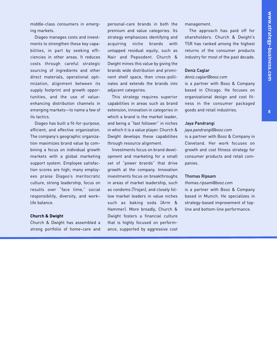**8**

middle-class consumers in emerging markets.

Diageo manages costs and investments to strengthen these key capabilities, in part by seeking efficiencies in other areas. It reduces costs through careful strategic sourcing of ingredients and other direct materials, operational optimization, alignment between its supply footprint and growth opportunities, and the use of valueenhancing distribution channels in emerging markets—to name a few of its tactics.

Diageo has built a fit-for-purpose, efficient, and effective organization. The company's geographic organization maximizes brand value by combining a focus on individual growth markets with a global marketing support system. Employee satisfaction scores are high; many employees praise Diageo's meritocratic culture, strong leadership, focus on results over "face time," social responsibility, diversity, and work– life balance.

#### **Church & Dwight**

Church & Dwight has assembled a strong portfolio of home-care and personal-care brands in both the premium and value categories. Its strategy emphasizes identifying and acquiring niche brands with untapped residual equity, such as Nair and Pepsodent. Church & Dwight mines this value by giving the brands wide distribution and prominent shelf space, then cross-pollinates and extends the brands into adjacent categories.

This strategy requires superior capabilities in areas such as brand extension, innovation in categories in which a brand is the market leader, and being a "fast follower" in niches in which it is a value player. Church & Dwight develops these capabilities through resource alignment.

Investments focus on brand development and marketing for a small set of "power brands" that drive growth at the company. Innovation investments focus on breakthroughs in areas of market leadership, such as condoms (Trojan), and closely follow market leaders in value niches such as baking soda (Arm & Hammer). More broadly, Church & Dwight fosters a financial culture that is highly focused on performance, supported by aggressive cost

management.

The approach has paid off for shareholders. Church & Dwight's TSR has ranked among the highest returns of the consumer products industry for most of the past decade.

#### Deniz Caglar

#### *deniz.caglar@booz.com*

is a partner with Booz & Company based in Chicago. He focuses on organizational design and cost fitness in the consumer packaged goods and retail industries.

#### Jaya Pandrangi

#### *jaya.pandrangi@booz.com*

is a partner with Booz & Company in Cleveland. Her work focuses on growth and cost fitness strategy for consumer products and retail companies.

#### Thomas Ripsam

#### *thomas.ripsam@booz.com*

is a partner with Booz & Company based in Munich. He specializes in strategy-based improvement of topline and bottom-line performance.